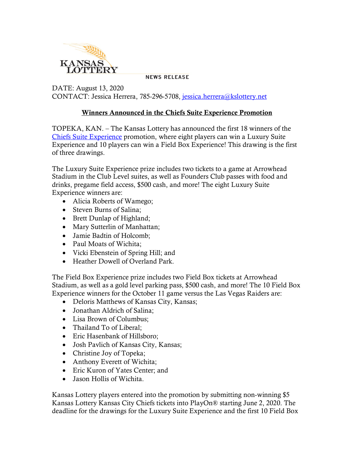

**NEWS RELEASE** 

DATE: August 13, 2020 CONTACT: Jessica Herrera, 785-296-5708, [jessica.herrera@kslottery.net](mailto:jessica.herrera@kslottery.net)

## Winners Announced in the Chiefs Suite Experience Promotion

TOPEKA, KAN. – The Kansas Lottery has announced the first 18 winners of the [Chiefs Suite Experience](https://kslottery.com/marketingpromotionslist/chiefs2020/) promotion, where eight players can win a Luxury Suite Experience and 10 players can win a Field Box Experience! This drawing is the first of three drawings.

The Luxury Suite Experience prize includes two tickets to a game at Arrowhead Stadium in the Club Level suites, as well as Founders Club passes with food and drinks, pregame field access, \$500 cash, and more! The eight Luxury Suite Experience winners are:

- Alicia Roberts of Wamego;
- Steven Burns of Salina;
- Brett Dunlap of Highland;
- Mary Sutterlin of Manhattan;
- Jamie Badtin of Holcomb;
- Paul Moats of Wichita;
- Vicki Ebenstein of Spring Hill; and
- Heather Dowell of Overland Park.

The Field Box Experience prize includes two Field Box tickets at Arrowhead Stadium, as well as a gold level parking pass, \$500 cash, and more! The 10 Field Box Experience winners for the October 11 game versus the Las Vegas Raiders are:

- Deloris Matthews of Kansas City, Kansas;
- Jonathan Aldrich of Salina;
- Lisa Brown of Columbus;
- Thailand To of Liberal;
- Eric Hasenbank of Hillsboro;
- Josh Pavlich of Kansas City, Kansas;
- Christine Joy of Topeka;
- Anthony Everett of Wichita;
- Eric Kuron of Yates Center; and
- Jason Hollis of Wichita.

Kansas Lottery players entered into the promotion by submitting non-winning \$5 Kansas Lottery Kansas City Chiefs tickets into PlayOn® starting June 2, 2020. The deadline for the drawings for the Luxury Suite Experience and the first 10 Field Box